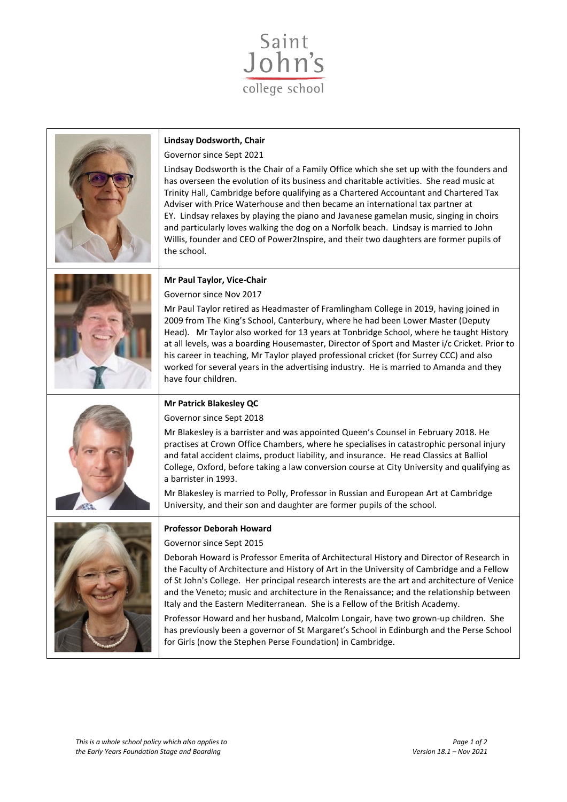

| <b>Lindsay Dodsworth, Chair</b><br>Governor since Sept 2021<br>Lindsay Dodsworth is the Chair of a Family Office which she set up with the founders and<br>has overseen the evolution of its business and charitable activities. She read music at<br>Trinity Hall, Cambridge before qualifying as a Chartered Accountant and Chartered Tax<br>Adviser with Price Waterhouse and then became an international tax partner at<br>EY. Lindsay relaxes by playing the piano and Javanese gamelan music, singing in choirs<br>and particularly loves walking the dog on a Norfolk beach. Lindsay is married to John<br>Willis, founder and CEO of Power2Inspire, and their two daughters are former pupils of<br>the school.                                                          |
|-----------------------------------------------------------------------------------------------------------------------------------------------------------------------------------------------------------------------------------------------------------------------------------------------------------------------------------------------------------------------------------------------------------------------------------------------------------------------------------------------------------------------------------------------------------------------------------------------------------------------------------------------------------------------------------------------------------------------------------------------------------------------------------|
| Mr Paul Taylor, Vice-Chair<br>Governor since Nov 2017<br>Mr Paul Taylor retired as Headmaster of Framlingham College in 2019, having joined in<br>2009 from The King's School, Canterbury, where he had been Lower Master (Deputy<br>Head). Mr Taylor also worked for 13 years at Tonbridge School, where he taught History<br>at all levels, was a boarding Housemaster, Director of Sport and Master i/c Cricket. Prior to<br>his career in teaching, Mr Taylor played professional cricket (for Surrey CCC) and also<br>worked for several years in the advertising industry. He is married to Amanda and they<br>have four children.                                                                                                                                          |
| <b>Mr Patrick Blakesley QC</b><br>Governor since Sept 2018<br>Mr Blakesley is a barrister and was appointed Queen's Counsel in February 2018. He<br>practises at Crown Office Chambers, where he specialises in catastrophic personal injury<br>and fatal accident claims, product liability, and insurance. He read Classics at Balliol<br>College, Oxford, before taking a law conversion course at City University and qualifying as<br>a barrister in 1993.<br>Mr Blakesley is married to Polly, Professor in Russian and European Art at Cambridge<br>University, and their son and daughter are former pupils of the school.                                                                                                                                                |
| <b>Professor Deborah Howard</b><br>Governor since Sept 2015<br>Deborah Howard is Professor Emerita of Architectural History and Director of Research in<br>the Faculty of Architecture and History of Art in the University of Cambridge and a Fellow<br>of St John's College. Her principal research interests are the art and architecture of Venice<br>and the Veneto; music and architecture in the Renaissance; and the relationship between<br>Italy and the Eastern Mediterranean. She is a Fellow of the British Academy.<br>Professor Howard and her husband, Malcolm Longair, have two grown-up children. She<br>has previously been a governor of St Margaret's School in Edinburgh and the Perse School<br>for Girls (now the Stephen Perse Foundation) in Cambridge. |